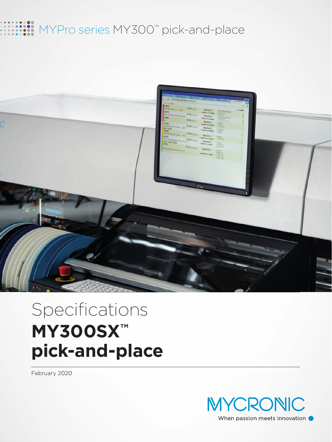## MYPro series MY300™ pick-and-place



# Specifications **MY300SX™ pick-and-place**

February 2020

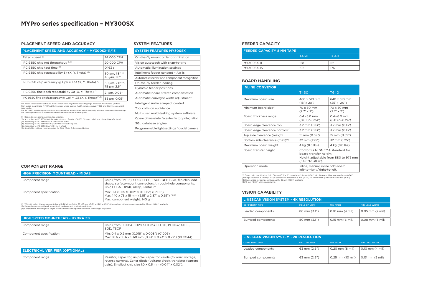#### PLACEMENT SPEED AND ACCURACY SYSTEM FEATURES

#### **PLACEMENT SPEED AND ACCURACY – MY300SX-11/15**

| Rated speed (1)                                                          | 24 000 CPH                                             |
|--------------------------------------------------------------------------|--------------------------------------------------------|
| IPC 9850 chip net throughput $(2,3)$                                     | 20 000 CPH                                             |
| IPC 9850 chip tact time (3)                                              | 0.163 s                                                |
| IPC 9850 chip repeatability $3\sigma$ (X, Y, Theta) $(3)$                | 30 µm, $1.8^{\circ}$ (6)<br>$45 \mu m$ , $1.8^\circ$   |
| IPC 9850 chip accuracy $\omega$ Cpk = 1.33 (X, Y, Theta) <sup>(5)</sup>  | 50 µm, $2.6^{\circ}$ (6)<br>75 $\mu$ m, 2.6 $^{\circ}$ |
| IPC 9850 fine pitch repeatability $3\sigma$ (X, Y, Theta) <sup>(4)</sup> | $21 \mu m$ , 0.05°                                     |
| IPC 9850 fine pitch accuracy $@$ Cpk = 1.33 (X, Y, Theta) $(4, 5)$       | 35 µm, 0.09°                                           |

| <b>SYSTEM FEATURES MY300SX</b>                   |
|--------------------------------------------------|
| On-the-fly mount order optimization              |
| Vision autoteach with snap-to-grid               |
| Automatic illumination settings                  |
| Intelligent feeder concept - Agilis              |
| Automatic feeder and component recognition       |
| On-the-fly feeder loading                        |
| Dynamic feeder positions                         |
| Automatic board stretch compensation             |
| Automatic conveyor width adjustment              |
| Intelligent surface impact control               |
| Tool collision avoidance                         |
| Multi-user, multi-tasking system software        |
| Open software interfaces for factory integration |
| SQL database engine                              |
| Programmable light settings fiducial camera      |

The above specification achieved with a machine configuration including high precision mounthead (Midas), high speed mounthead (HYDRA Z8), line scan vision system (LVS), inline conveyor T460 and 15 mm component max height.

The IPC 9850 net throughput and accuracy numbers are obtained simultaneously, with the same machine settings. The rated speed value is obtained under conditions optimized for speed.

(1) Depending on component and application.<br>
(2) According to IPC 9850. Net throughput = (no of parts x 3600) / (board build time + board transfer time).<br>
(3) According to IPC 9850 0402C verification panel.<br>
(4) According

#### BOARD HANDLING

#### FEEDER CAPACITY

| <b>FEEDER CAPACITY 8 MM TAPE</b> |      |      |  |
|----------------------------------|------|------|--|
|                                  | T460 | T640 |  |
| MY300SX-11                       | 128  | 112  |  |
| MY300SX-15                       | 192  | 176  |  |

#### **HIGH SPEED MOUNTHEAD – HYDRA Z8**

| Component range         | Chip (from 01005), SO28, SOT223, SOJ20, PLCC32, MELF,<br>SOD. TSOP                                           |
|-------------------------|--------------------------------------------------------------------------------------------------------------|
| Component specification | Min: 0.4 x 0.2 mm (0.016" x 0.008") (01005)<br>  Max: 18.6 x 18.6 x 5.60 mm (0.73" x 0.73" x 0.22") (PLCC44) |

#### COMPONENT RANGE

| <b>HIGH PRECISION MOUNTHEAD - MIDAS</b> |
|-----------------------------------------|
|-----------------------------------------|

| Component range         | Chip (from 03015), SOIC, PLCC, TSOP, QFP, BGA, flip chip, odd-<br>shape, surface-mount connectors, through-hole components,<br>CSP, CCGA, DPAK, Alcap, Tantalum |
|-------------------------|-----------------------------------------------------------------------------------------------------------------------------------------------------------------|
| Component specification | Min: 0.3 x 0.15 (0.012" x 0.006") (03015)<br>Max: 140 x 73 x 15 mm (5.51" x 2.87" x 0.59") (1) (3)<br>Max: component weight: 140 g (2)                          |

(1) With 4K vision. Max component size with 2K vision: 140 x 56 x 15 mm (5.51" x 2.20" x 0.59"). Customized tall component capability 22 mm (0.86") available.<br>(2) Depending on mounthead, mount tool, package, and producti

| <b>ELECTRICAL VERIFIER (OPTIONAL)</b> |                                                                                                                                                                                                                |
|---------------------------------------|----------------------------------------------------------------------------------------------------------------------------------------------------------------------------------------------------------------|
| Component range                       | Resistor, capacitor, unipolar capacitor, diode (forward voltage,<br>reverse current), Zener diode (voltage drop), transistor (current<br>$\frac{1}{2}$ gain). Smallest chip size 1.0 x 0.5 mm (0.04" x 0.02"). |

| <b>LINESCAN VISION SYSTEM - 2K RESOLUTION</b> |                        |                     |                       |
|-----------------------------------------------|------------------------|---------------------|-----------------------|
| <b>COMPONENT TYPE</b>                         | <b>FIELD OF VIEW</b>   | <b>MIN PITCH</b>    | <b>MIN LEAD WIDTH</b> |
| Leaded components                             | $63 \text{ mm} (2.5")$ | $0.20$ mm $(8$ mil) | 0.10 mm (4 mil)       |
| Bumped components                             | $63 \text{ mm} (2.5")$ | 0.25 mm (10 mil)    | $0.13$ mm $(5$ mil)   |

| <b>LINESCAN VISION SYSTEM - 4K RESOLUTION</b> |                        |                     |                             |
|-----------------------------------------------|------------------------|---------------------|-----------------------------|
| <b>COMPONENT TYPE</b>                         | <b>FIELD OF VIEW</b>   | <b>MIN PITCH</b>    | <b>MIN LEAD WIDTH</b>       |
| Leaded components                             | $80 \text{ mm} (3.1")$ | $0.10$ mm $(4$ mil) | $0.05$ mm $(2 \text{ mil})$ |
| Bumped components                             | $80 \text{ mm} (3.1")$ | $0.15$ mm (6 mil)   | $0.08$ mm $(3$ mil)         |

### VISION CAPABILITY

| <b>INLINE CONVEYOR</b>                     |                                                                                                                       |                                    |
|--------------------------------------------|-----------------------------------------------------------------------------------------------------------------------|------------------------------------|
|                                            | T460                                                                                                                  | T640                               |
| Maximum board size                         | 460 x 510 mm<br>$(18" \times 20")$                                                                                    | 640 x 510 mm<br>$(25" \times 20")$ |
| Minimum board size <sup>(1)</sup>          | 70 x 50 mm<br>$(2.7" \times 2")$                                                                                      | 70 x 50 mm<br>$(2.7" \times 2")$   |
| Board thickness range                      | $0.4 - 6.0$ mm<br>$(0.016 - 0.24)$                                                                                    | $0.4 - 6.0$ mm<br>$(0.016 - 0.24)$ |
| Board edge clearance top                   | 3.2 mm (0.13")                                                                                                        | 3.2 mm (0.13")                     |
| Board edge clearance bottom <sup>(2)</sup> | 3.2 mm (0.13")                                                                                                        | $3.2$ mm $(0.13")$                 |
| Top side clearance $(max)^{(3)}$           | 15 mm (0.59")                                                                                                         | 15 mm (0.59")                      |
| Bottom side clearance (max) <sup>(4)</sup> | 32 mm (1.25")                                                                                                         | 32 mm (1.25")                      |
| Maximum board weight                       | 4 kg (8.8 lbs)                                                                                                        | 4 kg (8.8 lbs)                     |
| Board transfer height                      | Conforms to SMEMA standard for<br>board transfer height.<br>Height adjustable from 880 to 975 mm<br>(34.6" to 38.4"). |                                    |
| Operation mode                             | Inline, manual, inline odd-board,<br>left-to-right/right-to-left.                                                     |                                    |

(1) Board train specification: 90 x 50 mm (3.5" x 2") board size, 1.6 mm (0.06") min thickness. Max warpage 1 mm (0.04").<br>(2) Edge clearance 5.5 mm (0.22") if component taller than 6 mm (0.24"). 14.3 mm (0.56") if taller t